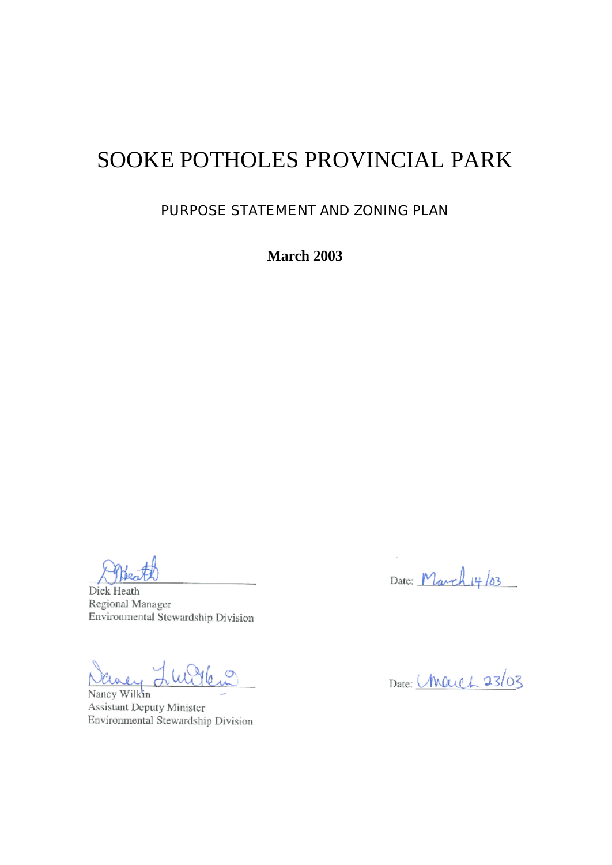# SOOKE POTHOLES PROVINCIAL PARK

PURPOSE STATEMENT AND ZONING PLAN

**March 2003**

Dick Heath Regional Manager Environmental Stewardship Division

 $\circ$ avey

Nancy Wilkin Assistant Deputy Minister Environmental Stewardship Division

Date: March 14/03

 $\mathbf{r}$ 

Date: Meuch 23/03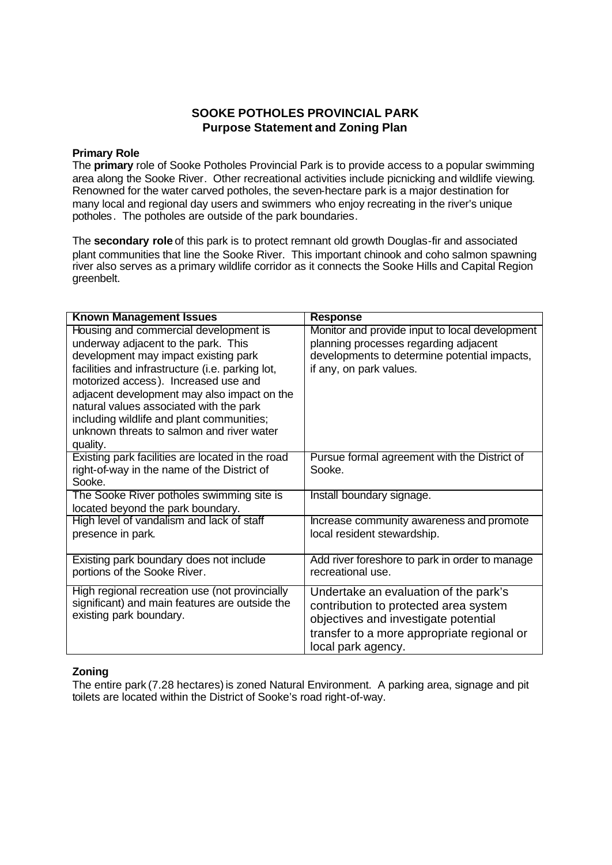### **SOOKE POTHOLES PROVINCIAL PARK Purpose Statement and Zoning Plan**

#### **Primary Role**

The **primary** role of Sooke Potholes Provincial Park is to provide access to a popular swimming area along the Sooke River. Other recreational activities include picnicking and wildlife viewing. Renowned for the water carved potholes, the seven-hectare park is a major destination for many local and regional day users and swimmers who enjoy recreating in the river's unique potholes. The potholes are outside of the park boundaries.

The **secondary role** of this park is to protect remnant old growth Douglas-fir and associated plant communities that line the Sooke River. This important chinook and coho salmon spawning river also serves as a primary wildlife corridor as it connects the Sooke Hills and Capital Region greenbelt.

| <b>Known Management Issues</b>                                                                                                                                                                                                                                                                                                                                                                                   | <b>Response</b>                                                                                                                                                                            |
|------------------------------------------------------------------------------------------------------------------------------------------------------------------------------------------------------------------------------------------------------------------------------------------------------------------------------------------------------------------------------------------------------------------|--------------------------------------------------------------------------------------------------------------------------------------------------------------------------------------------|
| Housing and commercial development is<br>underway adjacent to the park. This<br>development may impact existing park<br>facilities and infrastructure (i.e. parking lot,<br>motorized access). Increased use and<br>adjacent development may also impact on the<br>natural values associated with the park<br>including wildlife and plant communities;<br>unknown threats to salmon and river water<br>quality. | Monitor and provide input to local development<br>planning processes regarding adjacent<br>developments to determine potential impacts,<br>if any, on park values.                         |
| Existing park facilities are located in the road<br>right-of-way in the name of the District of<br>Sooke.                                                                                                                                                                                                                                                                                                        | Pursue formal agreement with the District of<br>Sooke.                                                                                                                                     |
| The Sooke River potholes swimming site is<br>located beyond the park boundary.                                                                                                                                                                                                                                                                                                                                   | Install boundary signage.                                                                                                                                                                  |
| High level of vandalism and lack of staff<br>presence in park.                                                                                                                                                                                                                                                                                                                                                   | Increase community awareness and promote<br>local resident stewardship.                                                                                                                    |
| Existing park boundary does not include<br>portions of the Sooke River.                                                                                                                                                                                                                                                                                                                                          | Add river foreshore to park in order to manage<br>recreational use.                                                                                                                        |
| High regional recreation use (not provincially<br>significant) and main features are outside the<br>existing park boundary.                                                                                                                                                                                                                                                                                      | Undertake an evaluation of the park's<br>contribution to protected area system<br>objectives and investigate potential<br>transfer to a more appropriate regional or<br>local park agency. |

#### **Zoning**

The entire park (7.28 hectares) is zoned Natural Environment. A parking area, signage and pit toilets are located within the District of Sooke's road right-of-way.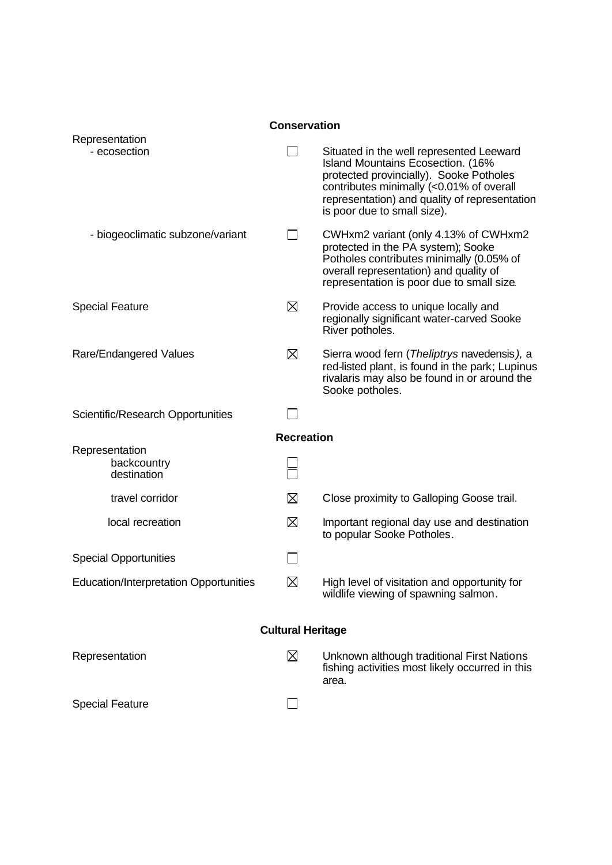| <b>Conservation</b>      |                                                                                                                                                                                                                                                      |  |  |
|--------------------------|------------------------------------------------------------------------------------------------------------------------------------------------------------------------------------------------------------------------------------------------------|--|--|
|                          |                                                                                                                                                                                                                                                      |  |  |
|                          | Situated in the well represented Leeward<br>Island Mountains Ecosection. (16%<br>protected provincially). Sooke Potholes<br>contributes minimally (<0.01% of overall<br>representation) and quality of representation<br>is poor due to small size). |  |  |
| $\blacksquare$           | CWHxm2 variant (only 4.13% of CWHxm2<br>protected in the PA system); Sooke<br>Potholes contributes minimally (0.05% of<br>overall representation) and quality of<br>representation is poor due to small size.                                        |  |  |
| ⊠                        | Provide access to unique locally and<br>regionally significant water-carved Sooke<br>River potholes.                                                                                                                                                 |  |  |
| ⊠                        | Sierra wood fern (Theliptrys navedensis), a<br>red-listed plant, is found in the park; Lupinus<br>rivalaris may also be found in or around the<br>Sooke potholes.                                                                                    |  |  |
|                          |                                                                                                                                                                                                                                                      |  |  |
| <b>Recreation</b>        |                                                                                                                                                                                                                                                      |  |  |
|                          |                                                                                                                                                                                                                                                      |  |  |
| ⊠                        | Close proximity to Galloping Goose trail.                                                                                                                                                                                                            |  |  |
| ⊠                        | Important regional day use and destination<br>to popular Sooke Potholes.                                                                                                                                                                             |  |  |
|                          |                                                                                                                                                                                                                                                      |  |  |
| ⊠                        | High level of visitation and opportunity for<br>wildlife viewing of spawning salmon.                                                                                                                                                                 |  |  |
| <b>Cultural Heritage</b> |                                                                                                                                                                                                                                                      |  |  |
| ⊠                        | Unknown although traditional First Nations<br>fishing activities most likely occurred in this<br>area.                                                                                                                                               |  |  |
| $\Box$                   |                                                                                                                                                                                                                                                      |  |  |
|                          |                                                                                                                                                                                                                                                      |  |  |